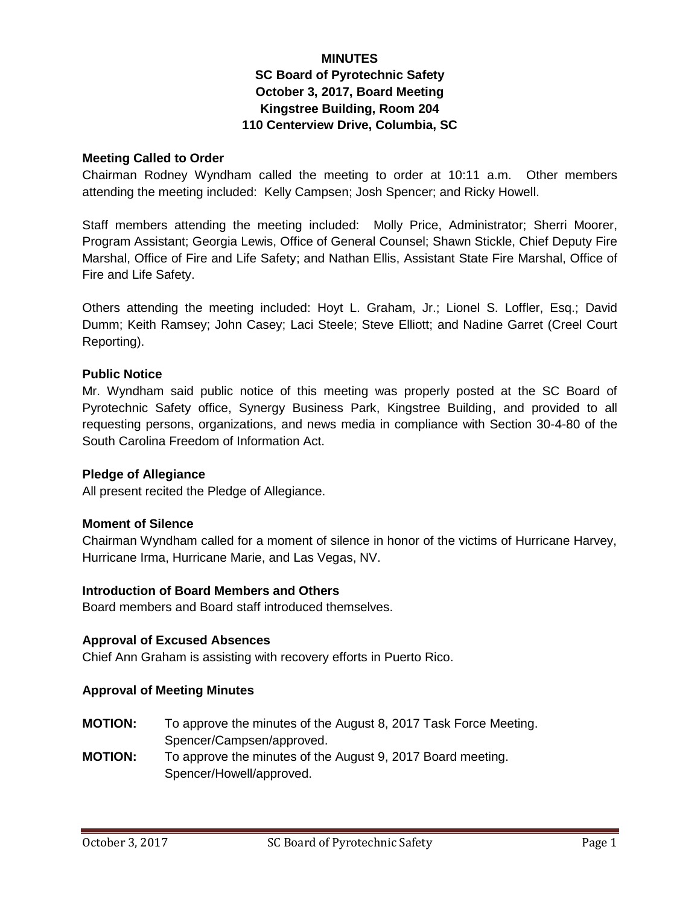# **MINUTES SC Board of Pyrotechnic Safety October 3, 2017, Board Meeting Kingstree Building, Room 204 110 Centerview Drive, Columbia, SC**

## **Meeting Called to Order**

Chairman Rodney Wyndham called the meeting to order at 10:11 a.m. Other members attending the meeting included: Kelly Campsen; Josh Spencer; and Ricky Howell.

Staff members attending the meeting included: Molly Price, Administrator; Sherri Moorer, Program Assistant; Georgia Lewis, Office of General Counsel; Shawn Stickle, Chief Deputy Fire Marshal, Office of Fire and Life Safety; and Nathan Ellis, Assistant State Fire Marshal, Office of Fire and Life Safety.

Others attending the meeting included: Hoyt L. Graham, Jr.; Lionel S. Loffler, Esq.; David Dumm; Keith Ramsey; John Casey; Laci Steele; Steve Elliott; and Nadine Garret (Creel Court Reporting).

#### **Public Notice**

Mr. Wyndham said public notice of this meeting was properly posted at the SC Board of Pyrotechnic Safety office, Synergy Business Park, Kingstree Building, and provided to all requesting persons, organizations, and news media in compliance with Section 30-4-80 of the South Carolina Freedom of Information Act.

#### **Pledge of Allegiance**

All present recited the Pledge of Allegiance.

## **Moment of Silence**

Chairman Wyndham called for a moment of silence in honor of the victims of Hurricane Harvey, Hurricane Irma, Hurricane Marie, and Las Vegas, NV.

#### **Introduction of Board Members and Others**

Board members and Board staff introduced themselves.

## **Approval of Excused Absences**

Chief Ann Graham is assisting with recovery efforts in Puerto Rico.

## **Approval of Meeting Minutes**

- **MOTION:** To approve the minutes of the August 8, 2017 Task Force Meeting. Spencer/Campsen/approved.
- **MOTION:** To approve the minutes of the August 9, 2017 Board meeting. Spencer/Howell/approved.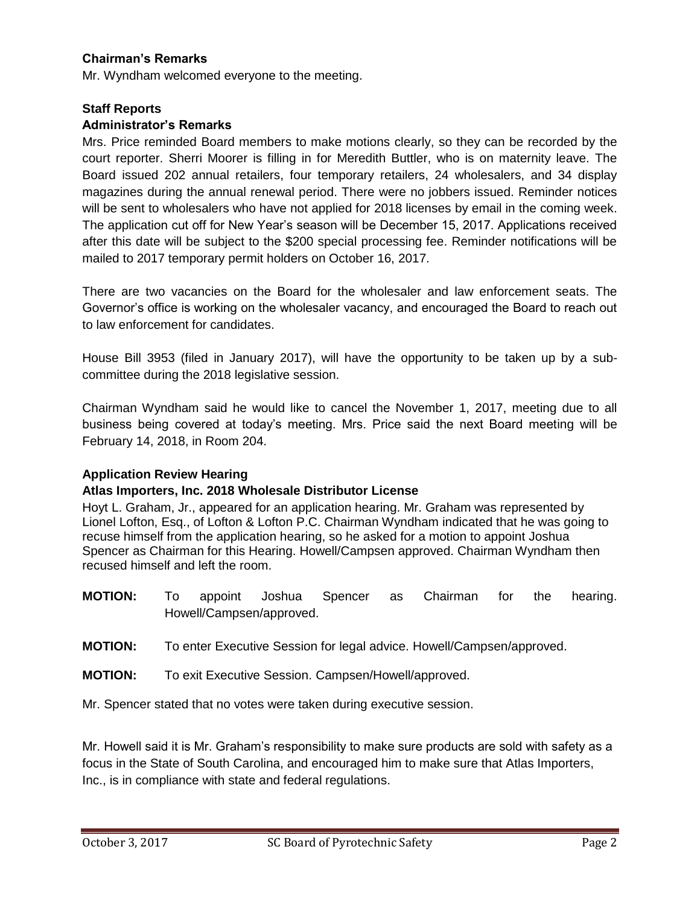## **Chairman's Remarks**

Mr. Wyndham welcomed everyone to the meeting.

### **Staff Reports**

#### **Administrator's Remarks**

Mrs. Price reminded Board members to make motions clearly, so they can be recorded by the court reporter. Sherri Moorer is filling in for Meredith Buttler, who is on maternity leave. The Board issued 202 annual retailers, four temporary retailers, 24 wholesalers, and 34 display magazines during the annual renewal period. There were no jobbers issued. Reminder notices will be sent to wholesalers who have not applied for 2018 licenses by email in the coming week. The application cut off for New Year's season will be December 15, 2017. Applications received after this date will be subject to the \$200 special processing fee. Reminder notifications will be mailed to 2017 temporary permit holders on October 16, 2017.

There are two vacancies on the Board for the wholesaler and law enforcement seats. The Governor's office is working on the wholesaler vacancy, and encouraged the Board to reach out to law enforcement for candidates.

House Bill 3953 (filed in January 2017), will have the opportunity to be taken up by a subcommittee during the 2018 legislative session.

Chairman Wyndham said he would like to cancel the November 1, 2017, meeting due to all business being covered at today's meeting. Mrs. Price said the next Board meeting will be February 14, 2018, in Room 204.

## **Application Review Hearing**

## **Atlas Importers, Inc. 2018 Wholesale Distributor License**

Hoyt L. Graham, Jr., appeared for an application hearing. Mr. Graham was represented by Lionel Lofton, Esq., of Lofton & Lofton P.C. Chairman Wyndham indicated that he was going to recuse himself from the application hearing, so he asked for a motion to appoint Joshua Spencer as Chairman for this Hearing. Howell/Campsen approved. Chairman Wyndham then recused himself and left the room.

- **MOTION:** To appoint Joshua Spencer as Chairman for the hearing. Howell/Campsen/approved.
- **MOTION:** To enter Executive Session for legal advice. Howell/Campsen/approved.
- **MOTION:** To exit Executive Session. Campsen/Howell/approved.

Mr. Spencer stated that no votes were taken during executive session.

Mr. Howell said it is Mr. Graham's responsibility to make sure products are sold with safety as a focus in the State of South Carolina, and encouraged him to make sure that Atlas Importers, Inc., is in compliance with state and federal regulations.